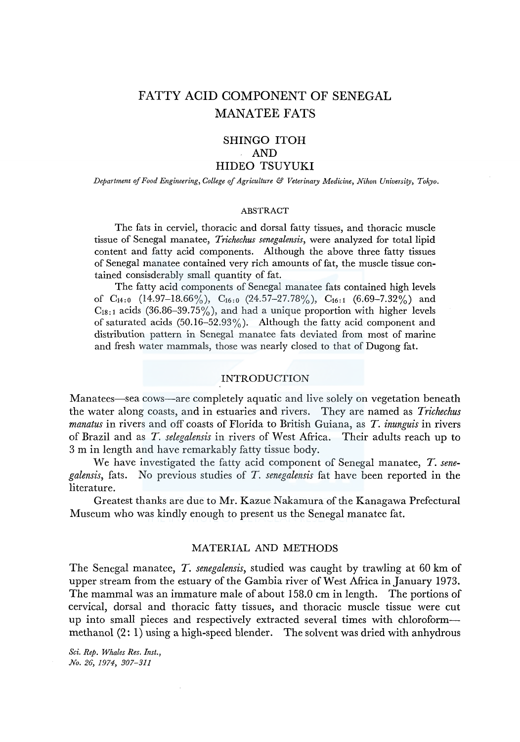# FATTY ACID COMPONENT OF SENEGAL MANATEE FATS

# SHINGO ITOH AND HIDEO TSUYUKI

*Departmeni of Food Engineering, College of Agriculture* & *Veterinary Medicine, Nikon Universiry, Tokyo.* 

#### ABSTRACT

The fats in cerviel, thoracic and dorsal fatty tissues, and thoracic muscle tissue of Senegal manatee, *Trichechus senegalensis,* were analyzed for total lipid content and fatty acid components. Although the above three fatty tissues of Senegal manatee contained very rich amounts of fat, the muscle tissue contained consisderably small quantity of fat.

The fatty acid components of Senegal manatee fats contained high levels of  $C_{14:0}$  (14.97-18.66%),  $C_{16:0}$  (24.57-27.78%),  $C_{16:1}$  (6.69-7.32%) and  $C_{18:1}$  acids (36.86-39.75%), and had a unique proportion with higher levels of saturated acids  $(50.16-52.93\%)$ . Although the fatty acid component and distribution pattern in Senegal manatee fats deviated from most of marine and fresh water mammals, those was nearly closed to that of Dugong fat.

#### INTRODUCTION

Manatees—sea cows—are completely aquatic and live solely on vegetation beneath the water along coasts, and in estuaries and rivers. They are named as *Trichechus manatus* in rivers and off coasts of Florida to British Guiana, as *T. inunguis* in rivers of Brazil and as T. *selegalensis* in rivers of West Africa. Their adults reach up to 3 m in length and have remarkably fatty tissue body.

We have investigated the fatty acid component of Senegal manatee, *T. senegalensis,* fats. No previous studies of *T. senegalensis* fat have been reported in the literature.

Greatest thanks are due to Mr. Kazue Nakamura of the Kanagawa Prefectural Museum who was kindly enough to present us the Senegal manatee fat.

## MATERIAL AND METHODS

The Senegal manatee, *T. senegalensis,* studied was caught by trawling at 60 km of upper stream from the estuary of the Gambia river of West Africa in January 1973. The mammal was an immature male of about 158.0 cm in length. The portions of cervical, dorsal and thoracic fatty tissues, and thoracic muscle tissue were cut up into small pieces and respectively extracted several times with chloroformmethanol (2: 1) using a high-speed blender. The solvent was dried with anhydrous

*Sci. Rep. Whales Res. Inst., No. 26, 1974, 307-311*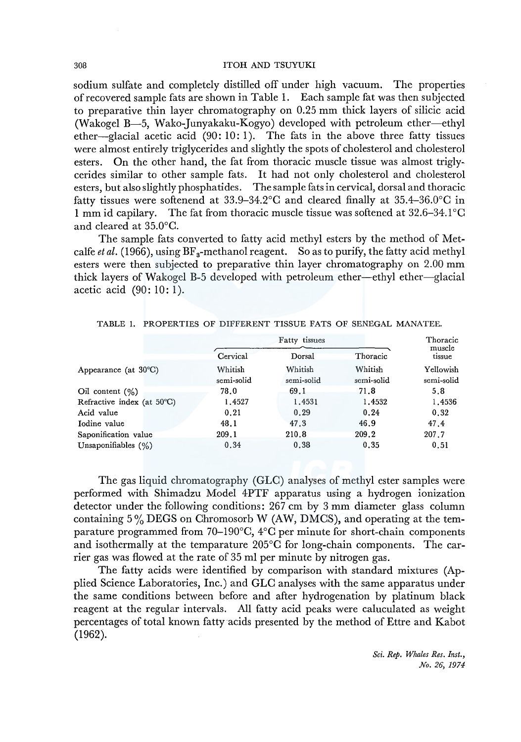#### 308 ITOH AND TSUYUKI

sodium sulfate and completely distilled off under high vacuum. The properties ofrecovered sample fats are shown in Table 1. Each sample fat was then subjected to preparative thin layer chromatography on 0.25 mm thick layers of silicic acid (Wakogel B-5, Wako-Junyakaku-Kogyo) developed with petroleum ether-ethyl ether-glacial acetic acid  $(90: 10: 1)$ . The fats in the above three fatty tissues were almost entirely triglycerides and slightly the spots of cholesterol and cholesterol esters. On the other hand, the fat from thoracic muscle tissue was almost triglycerides similar to other sample fats. It had not only cholesterol and cholesterol esters, but also slightly phosphatides. The sample fats in cervical, dorsal and thoracic fatty tissues were softenend at  $33.9-34.2^{\circ}$ C and cleared finally at  $35.4-36.0^{\circ}$ C in 1 mm id capilary. The fat from thoracic muscle tissue was softened at 32.6-34.1°C and cleared at 35.0°C.

The sample fats converted to fatty acid methyl esters by the method of Metcalfe *et al.* (1966), using  $BF_3$ -methanol reagent. So as to purify, the fatty acid methyl esters were then subjected to preparative thin layer chromatography on 2.00 mm thick layers of Wakogel B-5 developed with petroleum ether-ethyl ether-glacial acetic acid (90: 10: 1).

|                                |                       | Thoracic              |                       |                         |  |  |
|--------------------------------|-----------------------|-----------------------|-----------------------|-------------------------|--|--|
|                                | Cervical              | Dorsal                | Thoracic              | muscle<br>tissue        |  |  |
| Appearance (at $30^{\circ}$ C) | Whitish<br>semi-solid | Whitish<br>semi-solid | Whitish<br>semi-solid | Yellowish<br>semi-solid |  |  |
| Oil content $(\% )$            | 78.0                  | 69.1                  | 71.8                  | 5.8                     |  |  |
| Refractive index (at 50°C)     | 1,4527                | 1,4531                | 1,4532                | 1.4536                  |  |  |
| Acid value                     | 0.21                  | 0.29                  | 0.24                  | 0.32                    |  |  |
| Iodine value                   | 48.1                  | 47.3                  | 46.9                  | 47.4                    |  |  |
| Saponification value           | 209.1                 | 210.8                 | 209.2                 | 207.7                   |  |  |
| Unsaponifiables $(\%)$         | 0.34                  | 0.38                  | 0.35                  | 0.51                    |  |  |

|  | TABLE 1. PROPERTIES OF DIFFERENT TISSUE FATS OF SENEGAL MANATEE. |  |  |  |  |  |  |  |
|--|------------------------------------------------------------------|--|--|--|--|--|--|--|
|--|------------------------------------------------------------------|--|--|--|--|--|--|--|

The gas liquid chromatography (GLC) analyses of methyl ester samples were performed with Shimadzu Model 4PTF apparatus using a hydrogen ionization detector under the following conditions: 267 cm by 3 mm diameter glass column containing 5 % DEGS on Chromosorb W (AW, DMCS), and operating at the temparature programmed from 70-190°C, 4°C per minute for short-chain components and isothermally at the temparature 205°C for long-chain components. The carrier gas was flowed at the rate of 35 ml per minute by nitrogen gas.

The fatty acids were identified by comparison with standard mixtures (Applied Science Laboratories, Inc.) and GLC analyses with the same apparatus under the same conditions between before and after hydrogenation by platinum black reagent at the regular intervals. All fatty acid peaks were caluculated as weight percentages of total known fatty acids presented by the method of Ettre and Kabot (1962).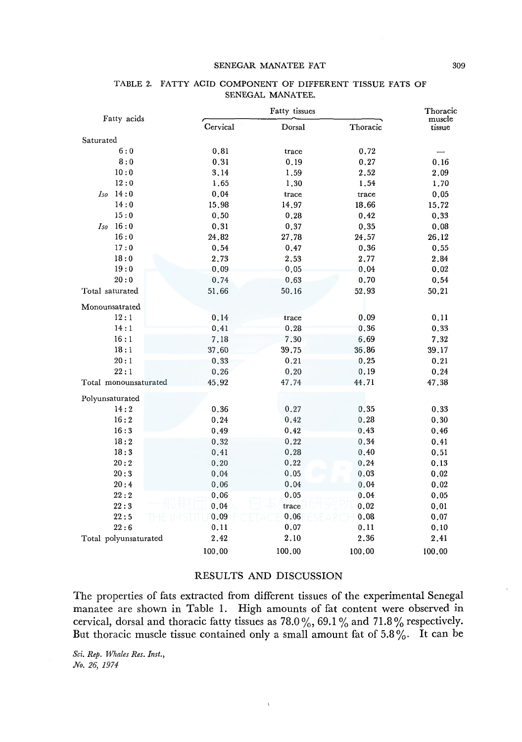#### SENEGAR MANATEE FAT 309

|                       |          | Fatty tissues |          |                  |  |  |
|-----------------------|----------|---------------|----------|------------------|--|--|
| Fatty acids           | Cervical | Dorsal        | Thoracic | muscle<br>tissue |  |  |
| Saturated             |          |               |          |                  |  |  |
| 6:0                   | 0.81     | trace         | 0.72     |                  |  |  |
| ${\bf 8:0}$           | 0.31     | 0.19          | 0.27     | 0, 16            |  |  |
| 10:0                  | 3.14     | 1.59          | 2.52     | 2,09             |  |  |
| 12:0                  | 1.65     | 1.30          | 1.54     | 1.70             |  |  |
| Iso 14:0              | 0.04     | trace         | trace    | 0.05             |  |  |
| 14:0                  | 15.98    | 14.97         | 18.66    | 15,72            |  |  |
| 15:0                  | 0.50     | 0.28          | 0.42     | 0.33             |  |  |
| 16:0<br>Iso           | 0.31     | 0.37          | 0.35     | 0.08             |  |  |
| 16:0                  | 24.82    | 27.78         | 24.57    | 26.12            |  |  |
| 17:0                  | 0.54     | 0.47          | 0.36     | 0.55             |  |  |
| 18:0                  | 2.73     | 2.53          | 2,77     | 2,84             |  |  |
| 19:0                  | 0.09     | 0.05          | 0.04     | 0.02             |  |  |
| 20:0                  | 0.74     | 0.63          | 0.70     | 0.54             |  |  |
| Total saturated       | 51.66    | 50.16         | 52.93    | 50.21            |  |  |
| Monounsatrated        |          |               |          |                  |  |  |
| 12:1                  | 0.14     | trace         | 0.09     | 0.11             |  |  |
| 14:1                  | 0.41     | 0.28          | 0.36     | 0.33             |  |  |
| 16:1                  | 7.18     | 7.30          | 6.69     | 7.32             |  |  |
| 18:1                  | 37.60    | 39.75         | 36.86    | 39.17            |  |  |
| 20:1                  | 0.33     | 0.21          | 0.25     | 0.21             |  |  |
| 22:1                  | 0.26     | 0.20          | 0.19     | 0.24             |  |  |
| Total monounsaturated | 45.92    | 47.74         | 44.71    | 47.38            |  |  |
| Polyunsaturated       |          |               |          |                  |  |  |
| 14:2                  | 0.36     | 0.27          | 0.35     | 0.33             |  |  |
| 16:2                  | 0.24     | 0.42          | 0.28     | 0.30             |  |  |
| 16:3                  | 0.49     | 0.42          | 0.43     | 0.46             |  |  |
| 18:2                  | 0.32     | 0.22          | 0.34     | 0.41             |  |  |
| 18:3                  | 0.41     | 0.28          | 0.40     | 0.51             |  |  |
| 20:2                  | 0.20     | 0.22          | 0.24     | 0.13             |  |  |
| 20:3                  | 0.04     | 0.05          | 0.03     | 0.02             |  |  |
| 20:4                  | 0.06     | 0.04          | $0.04\,$ | 0.02             |  |  |
| 22:2                  | 0,06     | 0.05          | 0.04     | 0.05             |  |  |
| 22:3                  | 0.04     | trace         | 0.02     | 0.01             |  |  |
| 22:5                  | 0.09     | 0.06          | 0.08     | 0.07             |  |  |
| 22:6                  | 0.11     | 0.07          | 0.11     | 0.10             |  |  |
| Total polyunsaturated | 2.42     | 2.10          | 2.36     | 2.41             |  |  |
|                       | 100.00   | 100.00        | 100.00   | 100.00           |  |  |

### TABLE 2. FATTY ACID COMPONENT OF DIFFERENT TISSUE FATS OF SENEGAL MANATEE.

#### RESULTS AND DISCUSSION

The properties of fats extracted from different tissues of the experimental Senegal manatee are shown in Table I. High amounts of fat content were observed in cervical, dorsal and thoracic fatty tissues as  $78.0\,\%$ ,  $69.1\,\%$  and  $71.8\,\%$  respectively. But thoracic muscle tissue contained only a small amount fat of  $5.8\%$ . It can be

 $\bar{\chi}$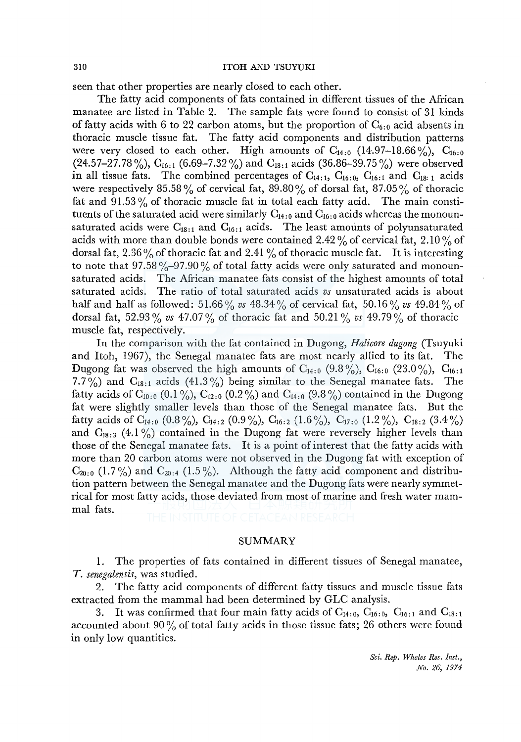#### 310 ITOH AND TSUYUKI

seen that other properties are nearly closed to each other.

The fatty acid components of fats contained in different tissues of the African manatee are listed in Table 2. The sample fats were found to consist of 31 kinds of fatty acids with 6 to 22 carbon atoms, but the proportion of  $C_{6.0}$  acid absents in thoracic muscle tissue fat. The fatty acid components and distribution patterns were very closed to each other. High amounts of  $C_{14:0}$  (14.97–18.66%),  $C_{16:0}$  $(24.57-27.78\%)$ ,  $C_{16:1}$  (6.69-7.32%) and  $C_{18:1}$  acids (36.86-39.75%) were observed in all tissue fats. The combined percentages of  $C_{14:1}$ ,  $C_{16:0}$ ,  $C_{16:1}$  and  $C_{18:1}$  acids were respectively 85.58% of cervical fat, 89.80% of dorsal fat, 87.05% of thoracic fat and  $91.53\%$  of thoracic muscle fat in total each fatty acid. The main constituents of the saturated acid were similarly  $C_{14:0}$  and  $C_{16:0}$  acids whereas the monounsaturated acids were  $C_{18:1}$  and  $C_{16:1}$  acids. The least amounts of polyunsaturated acids with more than double bonds were contained  $2.42\%$  of cervical fat,  $2.10\%$  of dorsal fat,  $2.36\%$  of thoracic fat and  $2.41\%$  of thoracic muscle fat. It is interesting to note that  $97.58\% - 97.90\%$  of total fatty acids were only saturated and monounsaturated acids. The African manatee fats consist of the highest amounts of total saturated acids. The ratio of total saturated acids *vs* unsaturated acids is about half and half as followed: 51.66 % *vs* 48.34 % of cervical fat, 50.16 % *vs* 49.84 % of dorsal fat, 52.93% *vs*  $47.07\%$  of thoracic fat and 50.21% *vs*  $49.79\%$  of thoracic muscle fat, respectively.

In the comparison with the fat contained in Dugong, *Halicore dugong* (Tsuyuki and Itoh, 1967), the Senegal manatee fats are most nearly allied to its fat. The Dugong fat was observed the high amounts of  $C_{14:0}$  (9.8%),  $C_{16:0}$  (23.0%),  $C_{16:1}$ 7.7%) and  $C_{18:1}$  acids (41.3%) being similar to the Senegal manatee fats. The fatty acids of  $C_{1010}$  (0.1 %),  $C_{1210}$  (0.2 %) and  $C_{1410}$  (9.8 %) contained in the Dugong fat were slightly smaller levels than those of the Senegal manatee fats. But the fatty acids of  $C_{14:0}$  (0.8%),  $C_{14:2}$  (0.9%),  $C_{16:2}$  (1.6%),  $C_{17:0}$  (1.2%),  $C_{18:2}$  (3.4%) and  $C_{18,3}$  (4.1%) contained in the Dugong fat were reversely higher levels than those of the Senegal manatee fats. It is a point of interest that the fatty acids with more than 20 carbon atoms were not observed in the Dugong fat with exception of  $C_{20:0}$  (1.7%) and  $C_{20:4}$  (1.5%). Although the fatty acid component and distribution pattern between the Senegal manatee and the Dugong fats were nearly symmetrical for most fatty acids, those deviated from most of marine and fresh water mammal fats.

SUMMARY

1. The properties of fats contained in different tissues of Senegal manatee, *T. senegalensis,* was studied.

2. The fatty acid components of different fatty tissues and muscle tissue fats extracted from the mammal had been determined by GLC analysis.

3. It was confirmed that four main fatty acids of  $C_{14:0}$ ,  $C_{16:0}$ ,  $C_{16:1}$  and  $C_{18:1}$ accounted about 90% of total fatty acids in those tissue fats; 26 others were found in only low quantities.